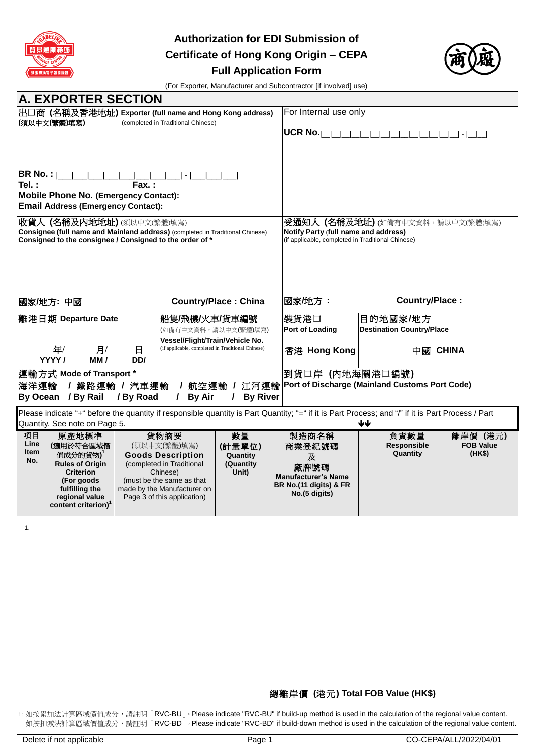

**Authorization for EDI Submission of Certificate of Hong Kong Origin – CEPA Full Application Form**



(For Exporter, Manufacturer and Subcontractor [if involved] use)

| <b>A. EXPORTER SECTION</b>                                                                                                                                                                                                                                                                                                                                                   |                                                         |                                                                                                                                       |                                  |                                        |  |
|------------------------------------------------------------------------------------------------------------------------------------------------------------------------------------------------------------------------------------------------------------------------------------------------------------------------------------------------------------------------------|---------------------------------------------------------|---------------------------------------------------------------------------------------------------------------------------------------|----------------------------------|----------------------------------------|--|
| │出口商 (名稱及香港地址) Exporter (full name and Hong Kong address)<br> (須以中文(繁體)填寫)<br>(completed in Traditional Chinese)                                                                                                                                                                                                                                                             |                                                         |                                                                                                                                       | For Internal use only            |                                        |  |
|                                                                                                                                                                                                                                                                                                                                                                              |                                                         | UCR No. $\vert$                                                                                                                       |                                  | $\vert \cdot \vert$                    |  |
|                                                                                                                                                                                                                                                                                                                                                                              |                                                         |                                                                                                                                       |                                  |                                        |  |
| BR No. :<br>Tel.:<br>Fax.:<br>Mobile Phone No. (Emergency Contact):                                                                                                                                                                                                                                                                                                          |                                                         |                                                                                                                                       |                                  |                                        |  |
| <b>Email Address (Emergency Contact):</b>                                                                                                                                                                                                                                                                                                                                    |                                                         |                                                                                                                                       |                                  |                                        |  |
| 收貨人 (名稱及內地地址) (須以中文(繁體)填寫)<br>Consignee (full name and Mainland address) (completed in Traditional Chinese)<br>Consigned to the consignee / Consigned to the order of *                                                                                                                                                                                                      |                                                         | <b>受通知人 (名稱及地址)</b> (如備有中文資料,請以中文(繁體)填寫)<br>Notify Party (full name and address)<br>(if applicable, completed in Traditional Chinese) |                                  |                                        |  |
| 國家/地方: 中國                                                                                                                                                                                                                                                                                                                                                                    | <b>Country/Place: China</b>                             | 國家/地方:                                                                                                                                | Country/Place:                   |                                        |  |
| 離港日期 Departure Date                                                                                                                                                                                                                                                                                                                                                          | 船隻/飛機/火車/貨車編號                                           | 裝貨港口                                                                                                                                  | 目的地國家/地方                         |                                        |  |
|                                                                                                                                                                                                                                                                                                                                                                              | (如備有中文資料,請以中文(繁體)填寫)<br>Vessel/Flight/Train/Vehicle No. | <b>Port of Loading</b>                                                                                                                | <b>Destination Country/Place</b> |                                        |  |
| 年/<br>月/<br>Β<br>YYYY/<br>MM/<br>DD/                                                                                                                                                                                                                                                                                                                                         | (if applicable, completed in Traditional Chinese)       | 香港 Hong Kong                                                                                                                          | 中國 CHINA                         |                                        |  |
| 運輸方式 Mode of Transport *<br>到貨口岸 (内地海關港口編號)<br>/ 航空運輸 / 江河運輸   Port of Discharge (Mainland Customs Port Code)<br>海洋運輸<br>/ 鐵路運輸 / 汽車運輸<br>By Ocean / By Rail<br><b>By Air</b><br><b>By River</b><br>/ By Road<br>L<br>L                                                                                                                                                      |                                                         |                                                                                                                                       |                                  |                                        |  |
| Please indicate "+" before the quantity if responsible quantity is Part Quantity; "=" if it is Part Process; and "/" if it is Part Process / Part<br>Quantity. See note on Page 5.                                                                                                                                                                                           |                                                         |                                                                                                                                       | ₩                                |                                        |  |
| 項目<br>原產地標準<br>貨物摘要<br>Line<br>(適用於符合區域價<br>(須以中文(繁體)填寫)<br>Item<br>值成分的貨物)<br><b>Goods Description</b><br>No.<br><b>Rules of Origin</b><br>(completed in Traditional<br><b>Criterion</b><br>Chinese)<br>(For goods<br>(must be the same as that<br>fulfilling the<br>made by the Manufacturer on<br>regional value<br>Page 3 of this application)<br>content criterion) $1$ | 數量<br>(計量單位)<br>Quantity<br>(Quantity<br>Unit)          | 製造商名稱<br>商業登紀號碼<br>及<br>廠牌號碼<br><b>Manufacturer's Name</b><br>BR No.(11 digits) & FR<br>No.(5 digits)                                 | 負責數量<br>Responsible<br>Quantity  | 離岸價 (港元)<br><b>FOB Value</b><br>(HK\$) |  |
| 1.                                                                                                                                                                                                                                                                                                                                                                           |                                                         |                                                                                                                                       |                                  |                                        |  |
|                                                                                                                                                                                                                                                                                                                                                                              |                                                         |                                                                                                                                       |                                  |                                        |  |
|                                                                                                                                                                                                                                                                                                                                                                              |                                                         |                                                                                                                                       |                                  |                                        |  |
|                                                                                                                                                                                                                                                                                                                                                                              |                                                         |                                                                                                                                       |                                  |                                        |  |
|                                                                                                                                                                                                                                                                                                                                                                              |                                                         |                                                                                                                                       |                                  |                                        |  |
|                                                                                                                                                                                                                                                                                                                                                                              |                                                         |                                                                                                                                       |                                  |                                        |  |
|                                                                                                                                                                                                                                                                                                                                                                              |                                                         | 總離岸價 (港元) Total FOB Value (HK\$)                                                                                                      |                                  |                                        |  |
| 1: 如按累加法計算區域價值成分,請註明「RVC-BU」。Please indicate "RVC-BU" if build-up method is used in the calculation of the regional value content.<br>如按扣減法計算區域價值成分,請註明「RVC-BD」。Please indicate "RVC-BD" if build-down method is used in the calculation of the regional value content.                                                                                                      |                                                         |                                                                                                                                       |                                  |                                        |  |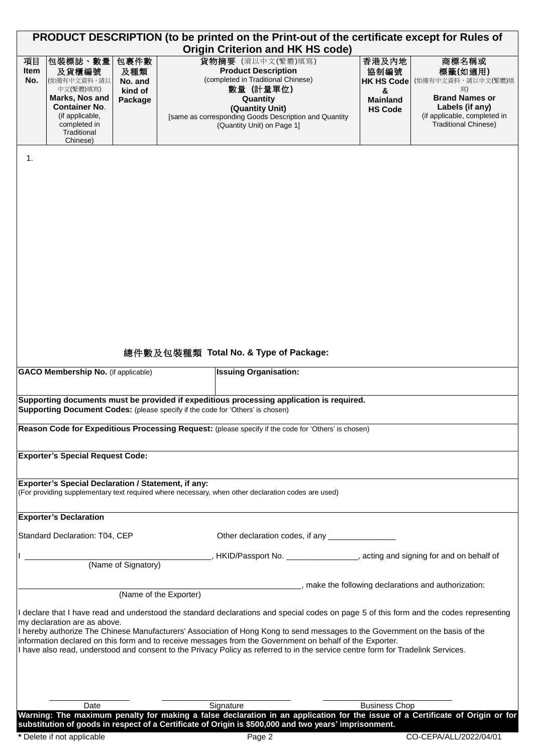| PRODUCT DESCRIPTION (to be printed on the Print-out of the certificate except for Rules of<br><b>Origin Criterion and HK HS code)</b> |                                                                                                                                                      |                                              |                        |                                                                                                                                                                                                                          |                                                                                                                                                                                                                                              |                                                                              |                                                                                                                                                                                                                                                                          |
|---------------------------------------------------------------------------------------------------------------------------------------|------------------------------------------------------------------------------------------------------------------------------------------------------|----------------------------------------------|------------------------|--------------------------------------------------------------------------------------------------------------------------------------------------------------------------------------------------------------------------|----------------------------------------------------------------------------------------------------------------------------------------------------------------------------------------------------------------------------------------------|------------------------------------------------------------------------------|--------------------------------------------------------------------------------------------------------------------------------------------------------------------------------------------------------------------------------------------------------------------------|
| 項目<br>Item<br>No.                                                                                                                     | 包裝標誌、數量<br>及貨櫃編號<br>(如備有中文資料,請以<br>中文(繁體)填寫)<br>Marks, Nos and<br><b>Container No.</b><br>(if applicable,<br>completed in<br>Traditional<br>Chinese) | 包裹件數<br>及種類<br>No. and<br>kind of<br>Package |                        | 貨物摘要 (須以中文(繁體)填寫)<br><b>Product Description</b><br>(completed in Traditional Chinese)<br>數量 (計量單位)<br>Quantity<br>(Quantity Unit)<br>[same as corresponding Goods Description and Quantity<br>(Quantity Unit) on Page 1] |                                                                                                                                                                                                                                              | 香港及内地<br>協制編號<br><b>HK HS Code</b><br>&<br><b>Mainland</b><br><b>HS Code</b> | 商標名稱或<br>標籤(如適用)<br>(如備有中文資料,請以中文(繁體)填<br>寫)<br><b>Brand Names or</b><br>Labels (if any)<br>(if applicable, completed in<br><b>Traditional Chinese)</b>                                                                                                                  |
| 1.                                                                                                                                    |                                                                                                                                                      |                                              |                        |                                                                                                                                                                                                                          |                                                                                                                                                                                                                                              |                                                                              |                                                                                                                                                                                                                                                                          |
|                                                                                                                                       | <b>GACO Membership No.</b> (if applicable)                                                                                                           |                                              |                        | 總件數及包裝種類 Total No. & Type of Package:<br><b>Issuing Organisation:</b>                                                                                                                                                    |                                                                                                                                                                                                                                              |                                                                              |                                                                                                                                                                                                                                                                          |
|                                                                                                                                       |                                                                                                                                                      |                                              |                        |                                                                                                                                                                                                                          |                                                                                                                                                                                                                                              |                                                                              |                                                                                                                                                                                                                                                                          |
|                                                                                                                                       |                                                                                                                                                      |                                              |                        | Supporting Document Codes: (please specify if the code for 'Others' is chosen)                                                                                                                                           | Supporting documents must be provided if expeditious processing application is required.                                                                                                                                                     |                                                                              |                                                                                                                                                                                                                                                                          |
|                                                                                                                                       |                                                                                                                                                      |                                              |                        |                                                                                                                                                                                                                          | Reason Code for Expeditious Processing Request: (please specify if the code for 'Others' is chosen)                                                                                                                                          |                                                                              |                                                                                                                                                                                                                                                                          |
|                                                                                                                                       | <b>Exporter's Special Request Code:</b>                                                                                                              |                                              |                        |                                                                                                                                                                                                                          |                                                                                                                                                                                                                                              |                                                                              |                                                                                                                                                                                                                                                                          |
|                                                                                                                                       | <b>Exporter's Special Declaration / Statement, if any:</b>                                                                                           |                                              |                        | (For providing supplementary text required where necessary, when other declaration codes are used)                                                                                                                       |                                                                                                                                                                                                                                              |                                                                              |                                                                                                                                                                                                                                                                          |
|                                                                                                                                       | <b>Exporter's Declaration</b>                                                                                                                        |                                              |                        |                                                                                                                                                                                                                          |                                                                                                                                                                                                                                              |                                                                              |                                                                                                                                                                                                                                                                          |
|                                                                                                                                       | Standard Declaration: T04, CEP                                                                                                                       |                                              |                        |                                                                                                                                                                                                                          | Other declaration codes, if any ________________                                                                                                                                                                                             |                                                                              |                                                                                                                                                                                                                                                                          |
|                                                                                                                                       |                                                                                                                                                      | (Name of Signatory)                          |                        |                                                                                                                                                                                                                          |                                                                                                                                                                                                                                              |                                                                              | , HKID/Passport No. ________________, acting and signing for and on behalf of                                                                                                                                                                                            |
|                                                                                                                                       |                                                                                                                                                      |                                              |                        |                                                                                                                                                                                                                          |                                                                                                                                                                                                                                              |                                                                              | n make the following declarations and authorization:                                                                                                                                                                                                                     |
|                                                                                                                                       | my declaration are as above.                                                                                                                         |                                              | (Name of the Exporter) |                                                                                                                                                                                                                          | information declared on this form and to receive messages from the Government on behalf of the Exporter.<br>I have also read, understood and consent to the Privacy Policy as referred to in the service centre form for Tradelink Services. |                                                                              | I declare that I have read and understood the standard declarations and special codes on page 5 of this form and the codes representing<br>I hereby authorize The Chinese Manufacturers' Association of Hong Kong to send messages to the Government on the basis of the |
|                                                                                                                                       | Date                                                                                                                                                 |                                              |                        | Signature                                                                                                                                                                                                                |                                                                                                                                                                                                                                              | <b>Business Chop</b>                                                         |                                                                                                                                                                                                                                                                          |
|                                                                                                                                       |                                                                                                                                                      |                                              |                        |                                                                                                                                                                                                                          | substitution of goods in respect of a Certificate of Origin is \$500,000 and two years' imprisonment.                                                                                                                                        |                                                                              | Warning: The maximum penalty for making a false declaration in an application for the issue of a Certificate of Origin or for                                                                                                                                            |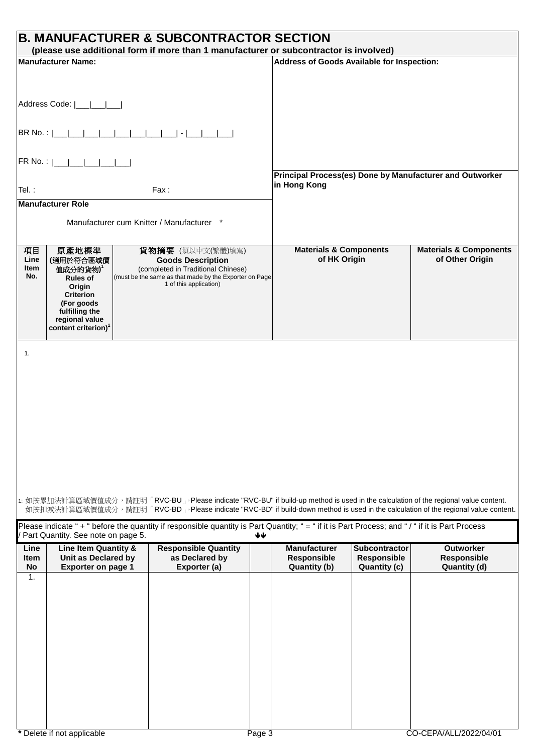| <b>B. MANUFACTURER &amp; SUBCONTRACTOR SECTION</b><br>(please use additional form if more than 1 manufacturer or subcontractor is involved)                                              |                                                                                                                                                                     |                                                                                                                                                                                                                                                                         |                                                           |                                              |                                                          |
|------------------------------------------------------------------------------------------------------------------------------------------------------------------------------------------|---------------------------------------------------------------------------------------------------------------------------------------------------------------------|-------------------------------------------------------------------------------------------------------------------------------------------------------------------------------------------------------------------------------------------------------------------------|-----------------------------------------------------------|----------------------------------------------|----------------------------------------------------------|
| Manufacturer Name:                                                                                                                                                                       |                                                                                                                                                                     |                                                                                                                                                                                                                                                                         | Address of Goods Available for Inspection:                |                                              |                                                          |
|                                                                                                                                                                                          |                                                                                                                                                                     |                                                                                                                                                                                                                                                                         |                                                           |                                              |                                                          |
| Address Code:                                                                                                                                                                            |                                                                                                                                                                     |                                                                                                                                                                                                                                                                         |                                                           |                                              |                                                          |
|                                                                                                                                                                                          |                                                                                                                                                                     |                                                                                                                                                                                                                                                                         |                                                           |                                              |                                                          |
|                                                                                                                                                                                          | FR No. :  ___ ___ ___ ___ ___                                                                                                                                       |                                                                                                                                                                                                                                                                         |                                                           |                                              |                                                          |
| Tel.:                                                                                                                                                                                    |                                                                                                                                                                     | Fax:                                                                                                                                                                                                                                                                    | in Hong Kong                                              |                                              | Principal Process(es) Done by Manufacturer and Outworker |
|                                                                                                                                                                                          | <b>Manufacturer Role</b>                                                                                                                                            |                                                                                                                                                                                                                                                                         |                                                           |                                              |                                                          |
|                                                                                                                                                                                          | Manufacturer cum Knitter / Manufacturer *                                                                                                                           |                                                                                                                                                                                                                                                                         |                                                           |                                              |                                                          |
| 項目<br>Line<br>Item<br>No.                                                                                                                                                                | 原產地標準<br>(適用於符合區域價<br>值成分的貨物)<br><b>Rules of</b><br>Origin<br><b>Criterion</b><br>(For goods<br>fulfilling the<br>regional value<br>content criterion) <sup>1</sup> | 貨物摘要 (須以中文(繁體)填寫)<br><b>Goods Description</b><br>(completed in Traditional Chinese)<br>(must be the same as that made by the Exporter on Page<br>1 of this application)                                                                                                 | <b>Materials &amp; Components</b><br>of HK Origin         |                                              | <b>Materials &amp; Components</b><br>of Other Origin     |
|                                                                                                                                                                                          |                                                                                                                                                                     | 1: 如按累加法計算區域價值成分,請註明「RVC-BU」。Please indicate "RVC-BU" if build-up method is used in the calculation of the regional value content.<br>如按扣減法計算區域價值成分,請註明「RVC-BD」。Please indicate "RVC-BD" if build-down method is used in the calculation of the regional value content. |                                                           |                                              |                                                          |
| Please indicate "+ " before the quantity if responsible quantity is Part Quantity; "= " if it is Part Process; and "/ " if it is Part Process<br>Part Quantity. See note on page 5.<br>₩ |                                                                                                                                                                     |                                                                                                                                                                                                                                                                         |                                                           |                                              |                                                          |
| Line<br>Item<br>No                                                                                                                                                                       | Line Item Quantity &<br>Unit as Declared by<br><b>Exporter on page 1</b>                                                                                            | <b>Responsible Quantity</b><br>as Declared by<br>Exporter (a)                                                                                                                                                                                                           | <b>Manufacturer</b><br>Responsible<br><b>Quantity (b)</b> | Subcontractor<br>Responsible<br>Quantity (c) | <b>Outworker</b><br>Responsible<br>Quantity (d)          |
| $\mathbf{1}$ .                                                                                                                                                                           |                                                                                                                                                                     |                                                                                                                                                                                                                                                                         |                                                           |                                              |                                                          |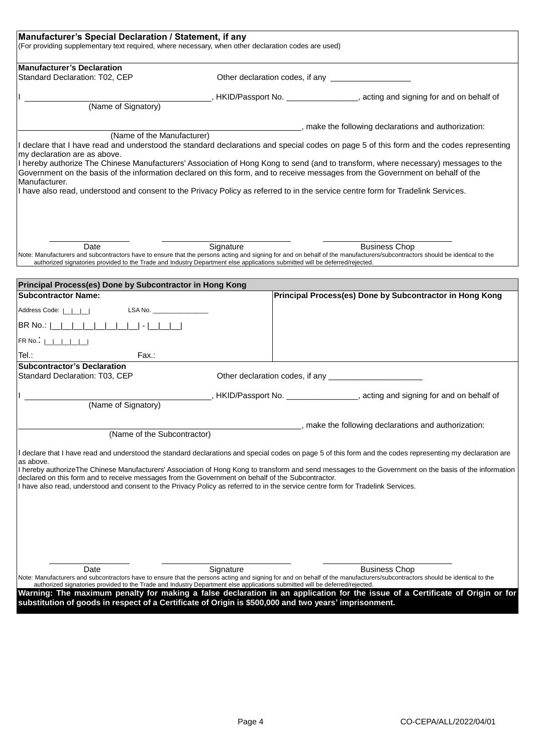| Manufacturer's Special Declaration / Statement, if any<br>(For providing supplementary text required, where necessary, when other declaration codes are used)                                                                                                                                                                                     |           |  |                                                                                                                                                                                                                                                                               |  |
|---------------------------------------------------------------------------------------------------------------------------------------------------------------------------------------------------------------------------------------------------------------------------------------------------------------------------------------------------|-----------|--|-------------------------------------------------------------------------------------------------------------------------------------------------------------------------------------------------------------------------------------------------------------------------------|--|
| <b>Manufacturer's Declaration</b>                                                                                                                                                                                                                                                                                                                 |           |  |                                                                                                                                                                                                                                                                               |  |
| Standard Declaration: T02, CEP                                                                                                                                                                                                                                                                                                                    |           |  | Other declaration codes, if any                                                                                                                                                                                                                                               |  |
|                                                                                                                                                                                                                                                                                                                                                   |           |  | , HKID/Passport No. ________________, acting and signing for and on behalf of                                                                                                                                                                                                 |  |
| (Name of Signatory)                                                                                                                                                                                                                                                                                                                               |           |  |                                                                                                                                                                                                                                                                               |  |
|                                                                                                                                                                                                                                                                                                                                                   |           |  | make the following declarations and authorization:                                                                                                                                                                                                                            |  |
| (Name of the Manufacturer)<br>my declaration are as above.<br>Government on the basis of the information declared on this form, and to receive messages from the Government on behalf of the<br>Manufacturer.<br>I have also read, understood and consent to the Privacy Policy as referred to in the service centre form for Tradelink Services. |           |  | I declare that I have read and understood the standard declarations and special codes on page 5 of this form and the codes representing<br>I hereby authorize The Chinese Manufacturers' Association of Hong Kong to send (and to transform, where necessary) messages to the |  |
| Date<br>Note: Manufacturers and subcontractors have to ensure that the persons acting and signing for and on behalf of the manufacturers/subcontractors should be identical to the<br>authorized signatories provided to the Trade and Industry Department else applications submitted will be deferred/rejected.                                 | Signature |  | <b>Business Chop</b>                                                                                                                                                                                                                                                          |  |
|                                                                                                                                                                                                                                                                                                                                                   |           |  |                                                                                                                                                                                                                                                                               |  |
| Principal Process(es) Done by Subcontractor in Hong Kong<br><b>Subcontractor Name:</b>                                                                                                                                                                                                                                                            |           |  | Principal Process(es) Done by Subcontractor in Hong Kong                                                                                                                                                                                                                      |  |
|                                                                                                                                                                                                                                                                                                                                                   |           |  |                                                                                                                                                                                                                                                                               |  |
| LSA No. _________________<br>Address Code:                                                                                                                                                                                                                                                                                                        |           |  |                                                                                                                                                                                                                                                                               |  |
|                                                                                                                                                                                                                                                                                                                                                   |           |  |                                                                                                                                                                                                                                                                               |  |
| $FR$ No. $L$ $L$ $L$ $L$ $L$                                                                                                                                                                                                                                                                                                                      |           |  |                                                                                                                                                                                                                                                                               |  |
| Tel.∶<br>Fax.:                                                                                                                                                                                                                                                                                                                                    |           |  |                                                                                                                                                                                                                                                                               |  |
| <b>Subcontractor's Declaration</b><br>Standard Declaration: T03, CEP                                                                                                                                                                                                                                                                              |           |  |                                                                                                                                                                                                                                                                               |  |
|                                                                                                                                                                                                                                                                                                                                                   |           |  | , HKID/Passport No. ________________, acting and signing for and on behalf of                                                                                                                                                                                                 |  |
| (Name of Signatory)                                                                                                                                                                                                                                                                                                                               |           |  |                                                                                                                                                                                                                                                                               |  |
|                                                                                                                                                                                                                                                                                                                                                   |           |  | , make the following declarations and authorization:                                                                                                                                                                                                                          |  |
| (Name of the Subcontractor)                                                                                                                                                                                                                                                                                                                       |           |  |                                                                                                                                                                                                                                                                               |  |
|                                                                                                                                                                                                                                                                                                                                                   |           |  | declare that I have read and understood the standard declarations and special codes on page 5 of this form and the codes representing my declaration are                                                                                                                      |  |
| as above.<br>declared on this form and to receive messages from the Government on behalf of the Subcontractor.<br>I have also read, understood and consent to the Privacy Policy as referred to in the service centre form for Tradelink Services.                                                                                                |           |  | I hereby authorizeThe Chinese Manufacturers' Association of Hong Kong to transform and send messages to the Government on the basis of the information                                                                                                                        |  |
|                                                                                                                                                                                                                                                                                                                                                   |           |  |                                                                                                                                                                                                                                                                               |  |
|                                                                                                                                                                                                                                                                                                                                                   |           |  |                                                                                                                                                                                                                                                                               |  |
| Date<br>Note: Manufacturers and subcontractors have to ensure that the persons acting and signing for and on behalf of the manufacturers/subcontractors should be identical to the                                                                                                                                                                | Signature |  | <b>Business Chop</b>                                                                                                                                                                                                                                                          |  |
| authorized signatories provided to the Trade and Industry Department else applications submitted will be deferred/rejected.                                                                                                                                                                                                                       |           |  |                                                                                                                                                                                                                                                                               |  |
| substitution of goods in respect of a Certificate of Origin is \$500,000 and two years' imprisonment.                                                                                                                                                                                                                                             |           |  | Warning: The maximum penalty for making a false declaration in an application for the issue of a Certificate of Origin or for                                                                                                                                                 |  |
|                                                                                                                                                                                                                                                                                                                                                   |           |  |                                                                                                                                                                                                                                                                               |  |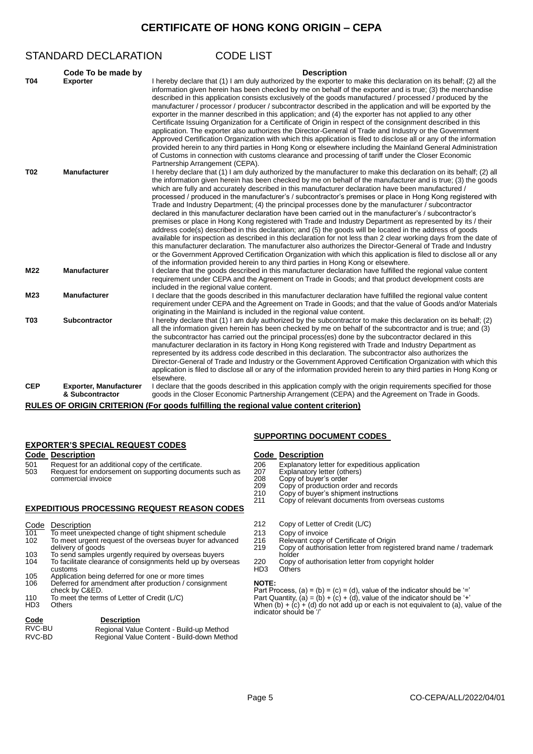## **CERTIFICATE OF HONG KONG ORIGIN – CEPA**

|            | STANDARD DECLARATION                             | <b>CODE LIST</b>                                                                                                                                                                                                                                                                                                                                                                                                                                                                                                                                                                                                                                                                                                                                                                                                                                                                                                                                                                                                         |
|------------|--------------------------------------------------|--------------------------------------------------------------------------------------------------------------------------------------------------------------------------------------------------------------------------------------------------------------------------------------------------------------------------------------------------------------------------------------------------------------------------------------------------------------------------------------------------------------------------------------------------------------------------------------------------------------------------------------------------------------------------------------------------------------------------------------------------------------------------------------------------------------------------------------------------------------------------------------------------------------------------------------------------------------------------------------------------------------------------|
| <b>T04</b> | Code To be made by<br><b>Exporter</b>            | <b>Description</b><br>I hereby declare that (1) I am duly authorized by the exporter to make this declaration on its behalf; (2) all the<br>information given herein has been checked by me on behalf of the exporter and is true; (3) the merchandise<br>described in this application consists exclusively of the goods manufactured / processed / produced by the<br>manufacturer / processor / producer / subcontractor described in the application and will be exported by the                                                                                                                                                                                                                                                                                                                                                                                                                                                                                                                                     |
|            |                                                  | exporter in the manner described in this application; and (4) the exporter has not applied to any other<br>Certificate Issuing Organization for a Certificate of Origin in respect of the consignment described in this<br>application. The exporter also authorizes the Director-General of Trade and Industry or the Government<br>Approved Certification Organization with which this application is filed to disclose all or any of the information<br>provided herein to any third parties in Hong Kong or elsewhere including the Mainland General Administration<br>of Customs in connection with customs clearance and processing of tariff under the Closer Economic<br>Partnership Arrangement (CEPA).                                                                                                                                                                                                                                                                                                         |
| <b>T02</b> | <b>Manufacturer</b>                              | I hereby declare that (1) I am duly authorized by the manufacturer to make this declaration on its behalf; (2) all<br>the information given herein has been checked by me on behalf of the manufacturer and is true; (3) the goods<br>which are fully and accurately described in this manufacturer declaration have been manufactured /<br>processed / produced in the manufacturer's / subcontractor's premises or place in Hong Kong registered with<br>Trade and Industry Department; (4) the principal processes done by the manufacturer / subcontractor<br>declared in this manufacturer declaration have been carried out in the manufacturer's / subcontractor's<br>premises or place in Hong Kong registered with Trade and Industry Department as represented by its / their<br>address code(s) described in this declaration; and (5) the goods will be located in the address of goods<br>available for inspection as described in this declaration for not less than 2 clear working days from the date of |
| M22        | <b>Manufacturer</b>                              | this manufacturer declaration. The manufacturer also authorizes the Director-General of Trade and Industry<br>or the Government Approved Certification Organization with which this application is filed to disclose all or any<br>of the information provided herein to any third parties in Hong Kong or elsewhere.<br>I declare that the goods described in this manufacturer declaration have fulfilled the regional value content<br>requirement under CEPA and the Agreement on Trade in Goods; and that product development costs are                                                                                                                                                                                                                                                                                                                                                                                                                                                                             |
| M23        | <b>Manufacturer</b>                              | included in the regional value content.<br>I declare that the goods described in this manufacturer declaration have fulfilled the regional value content<br>requirement under CEPA and the Agreement on Trade in Goods; and that the value of Goods and/or Materials                                                                                                                                                                                                                                                                                                                                                                                                                                                                                                                                                                                                                                                                                                                                                     |
| <b>T03</b> | <b>Subcontractor</b>                             | originating in the Mainland is included in the regional value content.<br>I hereby declare that (1) I am duly authorized by the subcontractor to make this declaration on its behalf; (2)<br>all the information given herein has been checked by me on behalf of the subcontractor and is true; and (3)<br>the subcontractor has carried out the principal process(es) done by the subcontractor declared in this<br>manufacturer declaration in its factory in Hong Kong registered with Trade and Industry Department as<br>represented by its address code described in this declaration. The subcontractor also authorizes the<br>Director-General of Trade and Industry or the Government Approved Certification Organization with which this<br>application is filed to disclose all or any of the information provided herein to any third parties in Hong Kong or<br>elsewhere.                                                                                                                                 |
| <b>CEP</b> | <b>Exporter, Manufacturer</b><br>& Subcontractor | I declare that the goods described in this application comply with the origin requirements specified for those<br>goods in the Closer Economic Partnership Arrangement (CEPA) and the Agreement on Trade in Goods.                                                                                                                                                                                                                                                                                                                                                                                                                                                                                                                                                                                                                                                                                                                                                                                                       |

**RULES OF ORIGIN CRITERION (For goods fulfilling the regional value content criterion)**

## **EXPORTER'S SPECIAL REQUEST CODES**

# **Code Description Code Description** 501 Request for an additional copy of the certificate. 206 Explanatory letter for expeditious application<br>503 Request for endorsement on supporting documents such as 207 Explanatory letter (others) 507 Request for endorsement on supporting documents such as 207<br>208 commercial invoice

### **EXPEDITIOUS PROCESSING REQUEST REASON CODES**

- Code Description<br>101 To meet unexpected change of tight shipment schedule 213 Copy of invoice Frace Enterned Unexpected change of tight shipment schedule 213 Copy of invoice<br>102 To meet urgent request of the overseas buyer for advanced 216 Relevant copy of Certificate of Origin 102 To meet urgent request of the overseas buyer for advanced 216<br>delivery of goods 219
- 103 To send samples urgently required by overseas buyers holder<br>104 To facilitate clearance of consignments held up by overseas 220 Copy of authorisation letter from copyright holder<br>103 Others HD3 Others To facilitate clearance of consignments held up by overseas
- customs HD3 Others 105 Application being deferred for one or more times
- 106 Deferred for amendment after production / consignment **NOTE:**
- 
- 

### **Code Description**

| RVC-BU | Regional Value Content - Build-up Method   |
|--------|--------------------------------------------|
| RVC-BD | Regional Value Content - Build-down Method |

## **SUPPORTING DOCUMENT CODES**

- 
- 
- 208 Copy of buyer's order<br>209 Copy of production or
- 209 Copy of production order and records
- 210 Copy of buyer's shipment instructions 211 Copy of relevant documents from overseas customs
	-
- 
- Copy of authorisation letter from registered brand name / trademark<br>holder
- 
- 

check by C&ED. Part Process, (a) = (b) = (c) = (d), value of the indicator should be '=' 110 To meet the terms of Letter of Credit (L/C) Part Quantity, (a) = (b) + (c) + (d), value of the indicator should be '+'

HD3 Others when (b) + (c) + (d) do not add up or each is not equivalent to (a), value of the indicator should be '/'